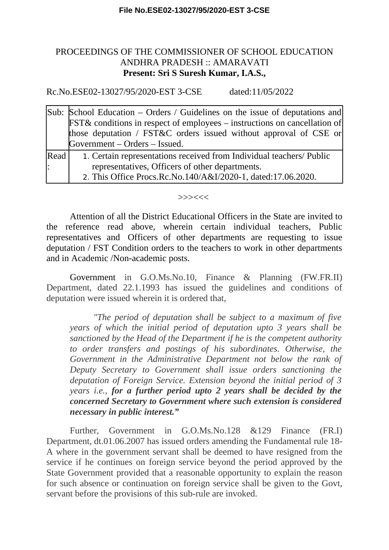## PROCEEDINGS OF THE COMMISSIONER OF SCHOOL EDUCATION ANDHRA PRADESH :: AMARAVATI **Present: Sri S Suresh Kumar, I.A.S.,**

Rc.No.ESE02-13027/95/2020-EST 3-CSE dated:11/05/2022

|      | Sub: School Education – Orders / Guidelines on the issue of deputations and<br><b>FST&amp;</b> conditions in respect of employees – instructions on cancellation of<br>those deputation / FST&C orders issued without approval of CSE or<br>Government – Orders – Issued. |
|------|---------------------------------------------------------------------------------------------------------------------------------------------------------------------------------------------------------------------------------------------------------------------------|
| Read | 1. Certain representations received from Individual teachers/ Public                                                                                                                                                                                                      |
| l:   | representatives, Officers of other departments.                                                                                                                                                                                                                           |
|      | 2. This Office Procs.Rc.No.140/A&I/2020-1, dated:17.06.2020.                                                                                                                                                                                                              |

## >>><<<

Attention of all the District Educational Officers in the State are invited to the reference read above, wherein certain individual teachers, Public representatives and Officers of other departments are requesting to issue deputation / FST Condition orders to the teachers to work in other departments and in Academic /Non-academic posts.

Government in G.O.Ms.No.10, Finance & Planning (FW.FR.II) Department, dated 22.1.1993 has issued the guidelines and conditions of deputation were issued wherein it is ordered that,

*"The period of deputation shall be subject to a maximum of five years of which the initial period of deputation upto 3 years shall be sanctioned by the Head of the Department if he is the competent authority to order transfers and postings of his subordinates. Otherwise, the Government in the Administrative Department not below the rank of Deputy Secretary to Government shall issue orders sanctioning the deputation of Foreign Service. Extension beyond the initial period of 3 years i.e., for a further period upto 2 years shall be decided by the concerned Secretary to Government where such extension is considered necessary in public interest."* 

Further, Government in G.O.Ms.No.128 &129 Finance (FR.I) Department, dt.01.06.2007 has issued orders amending the Fundamental rule 18- A where in the government servant shall be deemed to have resigned from the service if he continues on foreign service beyond the period approved by the State Government provided that a reasonable opportunity to explain the reason for such absence or continuation on foreign service shall be given to the Govt, servant before the provisions of this sub-rule are invoked.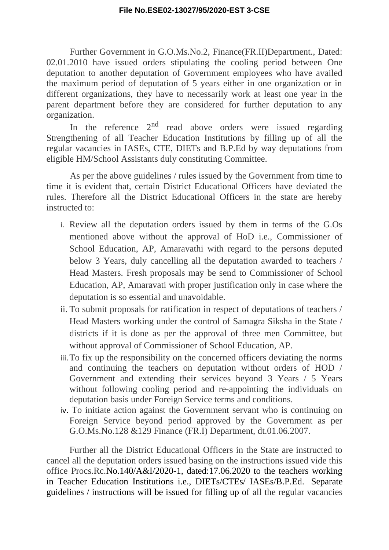Further Government in G.O.Ms.No.2, Finance(FR.II)Department., Dated: 02.01.2010 have issued orders stipulating the cooling period between One deputation to another deputation of Government employees who have availed the maximum period of deputation of 5 years either in one organization or in different organizations, they have to necessarily work at least one year in the parent department before they are considered for further deputation to any organization.

In the reference  $2<sup>nd</sup>$  read above orders were issued regarding Strengthening of all Teacher Education Institutions by filling up of all the regular vacancies in IASEs, CTE, DIETs and B.P.Ed by way deputations from eligible HM/School Assistants duly constituting Committee.

As per the above guidelines / rules issued by the Government from time to time it is evident that, certain District Educational Officers have deviated the rules. Therefore all the District Educational Officers in the state are hereby instructed to:

- i. Review all the deputation orders issued by them in terms of the G.Os mentioned above without the approval of HoD i.e., Commissioner of School Education, AP, Amaravathi with regard to the persons deputed below 3 Years, duly cancelling all the deputation awarded to teachers / Head Masters. Fresh proposals may be send to Commissioner of School Education, AP, Amaravati with proper justification only in case where the deputation is so essential and unavoidable.
- ii. To submit proposals for ratification in respect of deputations of teachers / Head Masters working under the control of Samagra Siksha in the State / districts if it is done as per the approval of three men Committee, but without approval of Commissioner of School Education, AP.
- iii.To fix up the responsibility on the concerned officers deviating the norms and continuing the teachers on deputation without orders of HOD / Government and extending their services beyond 3 Years / 5 Years without following cooling period and re-appointing the individuals on deputation basis under Foreign Service terms and conditions.
- iv. To initiate action against the Government servant who is continuing on Foreign Service beyond period approved by the Government as per G.O.Ms.No.128 &129 Finance (FR.I) Department, dt.01.06.2007.

Further all the District Educational Officers in the State are instructed to cancel all the deputation orders issued basing on the instructions issued vide this office Procs.Rc.No.140/A&I/2020-1, dated:17.06.2020 to the teachers working in Teacher Education Institutions i.e., DIETs/CTEs/ IASEs/B.P.Ed. Separate guidelines / instructions will be issued for filling up of all the regular vacancies